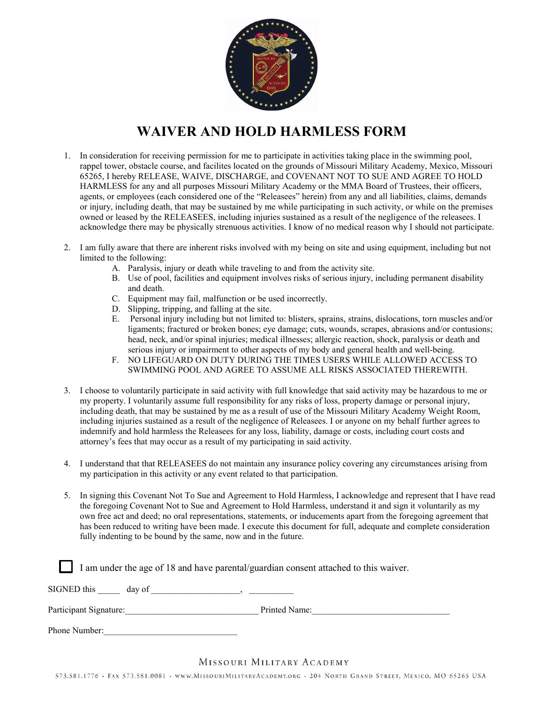

## **WAIVER AND HOLD HARMLESS FORM**

- 1. In consideration for receiving permission for me to participate in activities taking place in the swimming pool, rappel tower, obstacle course, and facilites located on the grounds of Missouri Military Academy, Mexico, Missouri 65265, I hereby RELEASE, WAIVE, DISCHARGE, and COVENANT NOT TO SUE AND AGREE TO HOLD HARMLESS for any and all purposes Missouri Military Academy or the MMA Board of Trustees, their officers, agents, or employees (each considered one of the "Releasees" herein) from any and all liabilities, claims, demands or injury, including death, that may be sustained by me while participating in such activity, or while on the premises owned or leased by the RELEASEES, including injuries sustained as a result of the negligence of the releasees. I acknowledge there may be physically strenuous activities. I know of no medical reason why I should not participate.
- 2. I am fully aware that there are inherent risks involved with my being on site and using equipment, including but not limited to the following:
	- A. Paralysis, injury or death while traveling to and from the activity site.
	- B. Use of pool, facilities and equipment involves risks of serious injury, including permanent disability and death.
	- C. Equipment may fail, malfunction or be used incorrectly.
	- D. Slipping, tripping, and falling at the site.
	- E. Personal injury including but not limited to: blisters, sprains, strains, dislocations, torn muscles and/or ligaments; fractured or broken bones; eye damage; cuts, wounds, scrapes, abrasions and/or contusions; head, neck, and/or spinal injuries; medical illnesses; allergic reaction, shock, paralysis or death and serious injury or impairment to other aspects of my body and general health and well-being.
	- F. NO LIFEGUARD ON DUTY DURING THE TIMES USERS WHILE ALLOWED ACCESS TO SWIMMING POOL AND AGREE TO ASSUME ALL RISKS ASSOCIATED THEREWITH.
- 3. I choose to voluntarily participate in said activity with full knowledge that said activity may be hazardous to me or my property. I voluntarily assume full responsibility for any risks of loss, property damage or personal injury, including death, that may be sustained by me as a result of use of the Missouri Military Academy Weight Room, including injuries sustained as a result of the negligence of Releasees. I or anyone on my behalf further agrees to indemnify and hold harmless the Releasees for any loss, liability, damage or costs, including court costs and attorney's fees that may occur as a result of my participating in said activity.
- 4. I understand that that RELEASEES do not maintain any insurance policy covering any circumstances arising from my participation in this activity or any event related to that participation.
- 5. In signing this Covenant Not To Sue and Agreement to Hold Harmless, I acknowledge and represent that I have read the foregoing Covenant Not to Sue and Agreement to Hold Harmless, understand it and sign it voluntarily as my own free act and deed; no oral representations, statements, or inducements apart from the foregoing agreement that has been reduced to writing have been made. I execute this document for full, adequate and complete consideration fully indenting to be bound by the same, now and in the future.

| I am under the age of 18 and have parental/guardian consent attached to this waiver. |               |
|--------------------------------------------------------------------------------------|---------------|
| SIGNED this<br>day of                                                                |               |
| Participant Signature:                                                               | Printed Name: |
| Phone Number:                                                                        |               |

## MISSOURI MILITARY ACADEMY